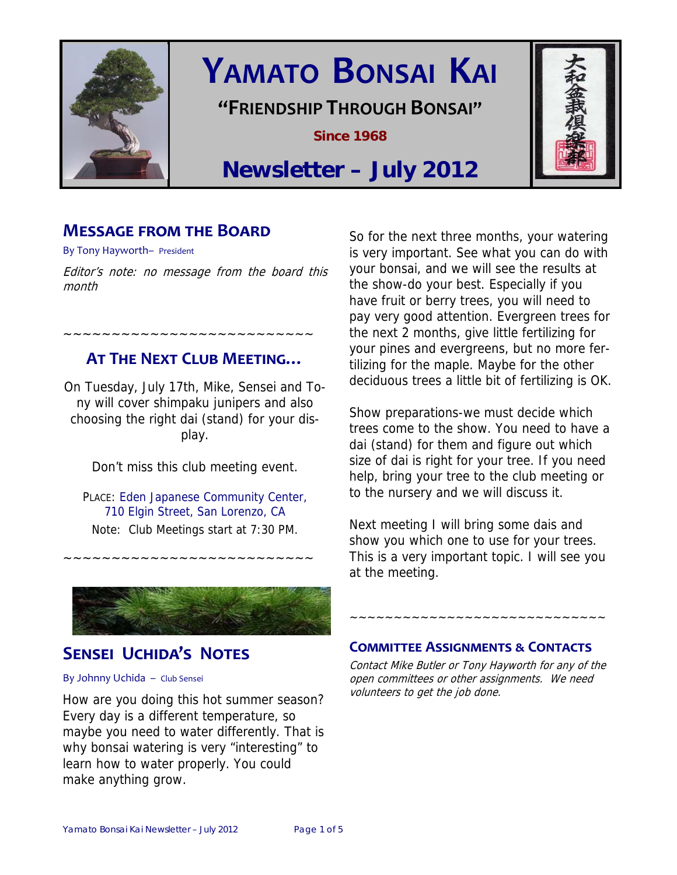

# **YAMATO BONSAI KAI**

**"FRIENDSHIP THROUGH BONSAI"**

**Since 1968** 



## **Newsletter – July 2012**

## **MESSAGE FROM THE BOARD**

By Tony Hayworth– President

Editor's note: no message from the board this month

**AT THE NEXT CLUB MEETING…** 

~~~~~~~~~~~~~~~~~~~~~~~~~~

On Tuesday, July 17th, Mike, Sensei and Tony will cover shimpaku junipers and also choosing the right dai (stand) for your display.

Don't miss this club meeting event.

PLACE: Eden Japanese Community Center, 710 Elgin Street, San Lorenzo, CA Note: Club Meetings start at 7:30 PM.

~~~~~~~~~~~~~~~~~~~~~~~~~~

## **SENSEI UCHIDA'S NOTES**

#### By Johnny Uchida – Club Sensei

How are you doing this hot summer season? Every day is a different temperature, so maybe you need to water differently. That is why bonsai watering is very "interesting" to learn how to water properly. You could make anything grow.

So for the next three months, your watering is very important. See what you can do with your bonsai, and we will see the results at the show-do your best. Especially if you have fruit or berry trees, you will need to pay very good attention. Evergreen trees for the next 2 months, give little fertilizing for your pines and evergreens, but no more fertilizing for the maple. Maybe for the other deciduous trees a little bit of fertilizing is OK.

Show preparations-we must decide which trees come to the show. You need to have a dai (stand) for them and figure out which size of dai is right for your tree. If you need help, bring your tree to the club meeting or to the nursery and we will discuss it.

Next meeting I will bring some dais and show you which one to use for your trees. This is a very important topic. I will see you at the meeting.

#### **COMMITTEE ASSIGNMENTS ƭ CONTACTS**

Contact Mike Butler or Tony Hayworth for any of the open committees or other assignments. We need volunteers to get the job done.

~~~~~~~~~~~~~~~~~~~~~~~~~~~~~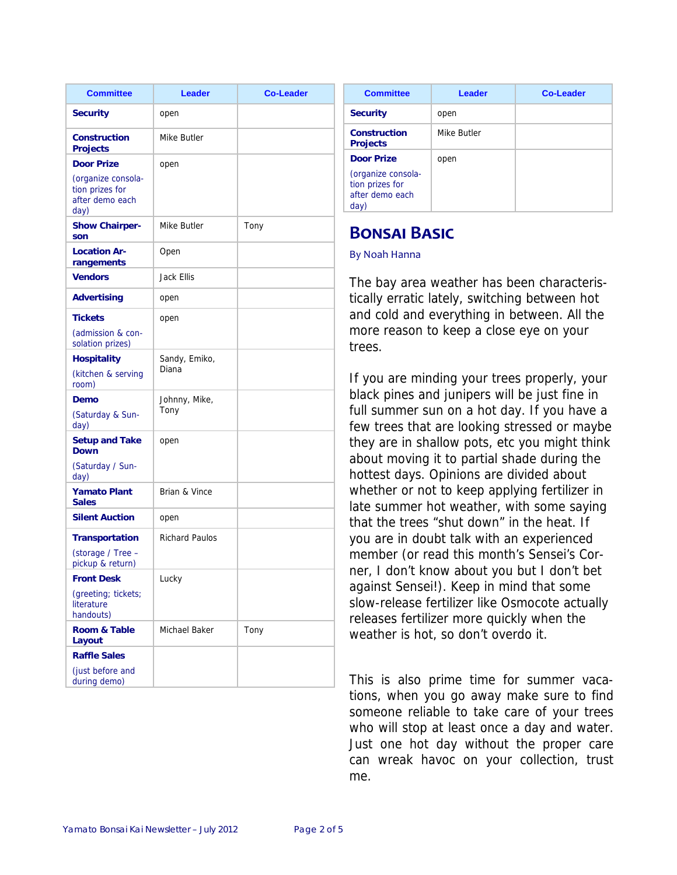| <b>Committee</b>                                                                      | <b>Leader</b>          | <b>Co-Leader</b> |
|---------------------------------------------------------------------------------------|------------------------|------------------|
| <b>Security</b>                                                                       | open                   |                  |
| <b>Construction</b><br><b>Projects</b>                                                | Mike Butler            |                  |
| <b>Door Prize</b><br>(organize consola-<br>tion prizes for<br>after demo each<br>day) | open                   |                  |
| <b>Show Chairper-</b><br>son                                                          | Mike Butler            | Tony             |
| <b>Location Ar-</b><br>rangements                                                     | Open                   |                  |
| <b>Vendors</b>                                                                        | Jack Ellis             |                  |
| <b>Advertising</b>                                                                    | open                   |                  |
| <b>Tickets</b><br>(admission & con-<br>solation prizes)                               | open                   |                  |
| <b>Hospitality</b><br>(kitchen & serving<br>room)                                     | Sandy, Emiko,<br>Diana |                  |
| Demo<br>(Saturday & Sun-<br>day)                                                      | Johnny, Mike,<br>Tony  |                  |
| <b>Setup and Take</b><br><b>Down</b><br>(Saturday / Sun-                              | open                   |                  |
| day)<br><b>Yamato Plant</b><br><b>Sales</b>                                           | Brian & Vince          |                  |
| <b>Silent Auction</b>                                                                 | open                   |                  |
| <b>Transportation</b><br>(storage / Tree -                                            | <b>Richard Paulos</b>  |                  |
| pickup & return)                                                                      |                        |                  |
| <b>Front Desk</b><br>(greeting; tickets;<br>literature<br>handouts)                   | Lucky                  |                  |
| <b>Room &amp; Table</b><br>Layout                                                     | Michael Baker          | Tony             |
| <b>Raffle Sales</b>                                                                   |                        |                  |
| (just before and<br>during demo)                                                      |                        |                  |

| <b>Committee</b>                                                               | Leader      | <b>Co-Leader</b> |
|--------------------------------------------------------------------------------|-------------|------------------|
| <b>Security</b>                                                                | open        |                  |
| Construction<br><b>Projects</b>                                                | Mike Butler |                  |
| Door Prize<br>(organize consola-<br>tion prizes for<br>after demo each<br>day) | open        |                  |

## **BONSAI BASIC**

#### By Noah Hanna

The bay area weather has been characteristically erratic lately, switching between hot and cold and everything in between. All the more reason to keep a close eye on your trees.

If you are minding your trees properly, your black pines and junipers will be just fine in full summer sun on a hot day. If you have a few trees that are looking stressed or maybe they are in shallow pots, etc you might think about moving it to partial shade during the hottest days. Opinions are divided about whether or not to keep applying fertilizer in late summer hot weather, with some saying that the trees "shut down" in the heat. If you are in doubt talk with an experienced member (or read this month's Sensei's Corner, I don't know about you but I don't bet against Sensei!). Keep in mind that some slow-release fertilizer like Osmocote actually releases fertilizer more quickly when the weather is hot, so don't overdo it.

This is also prime time for summer vacations, when you go away make sure to find someone reliable to take care of your trees who will stop at least once a day and water. Just one hot day without the proper care can wreak havoc on your collection, trust me.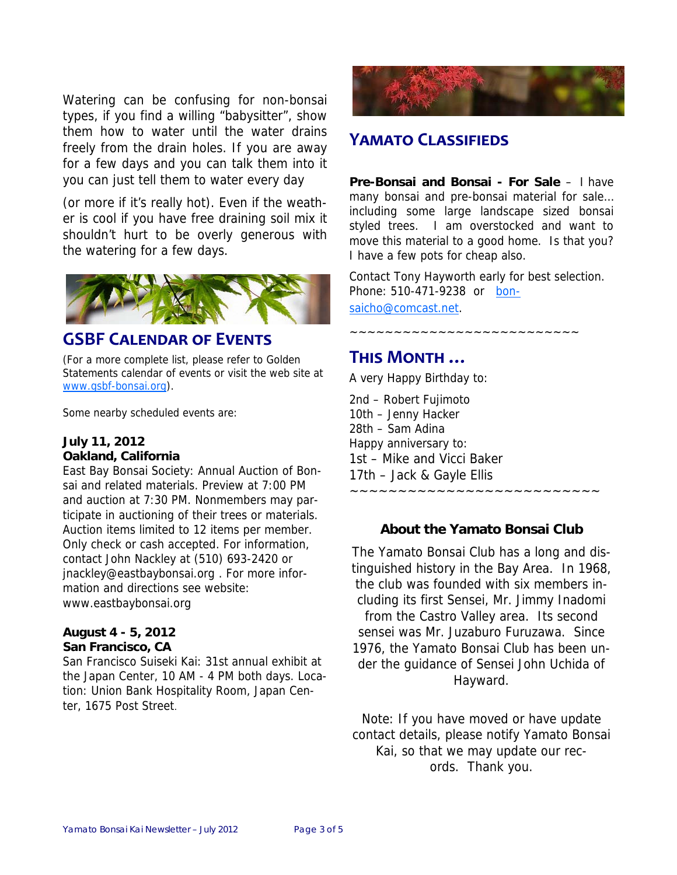Watering can be confusing for non-bonsai types, if you find a willing "babysitter", show them how to water until the water drains freely from the drain holes. If you are away for a few days and you can talk them into it you can just tell them to water every day

(or more if it's really hot). Even if the weather is cool if you have free draining soil mix it shouldn't hurt to be overly generous with the watering for a few days.



#### **GSBF CALENDAR OF EVENTS**

(For a more complete list, please refer to Golden Statements calendar of events or visit the web site at www.gsbf-bonsai.org).

Some nearby scheduled events are:

#### **July 11, 2012 Oakland, California**

East Bay Bonsai Society: Annual Auction of Bonsai and related materials. Preview at 7:00 PM and auction at 7:30 PM. Nonmembers may participate in auctioning of their trees or materials. Auction items limited to 12 items per member. Only check or cash accepted. For information, contact John Nackley at (510) 693-2420 or jnackley@eastbaybonsai.org . For more information and directions see website: www.eastbaybonsai.org

#### **August 4 - 5, 2012 San Francisco, CA**

San Francisco Suiseki Kai: 31st annual exhibit at the Japan Center, 10 AM - 4 PM both days. Location: Union Bank Hospitality Room, Japan Center, 1675 Post Street.



## **YAMATO CLASSIFIEDS**

**Pre-Bonsai and Bonsai - For Sale** – I have many bonsai and pre-bonsai material for sale… including some large landscape sized bonsai styled trees. I am overstocked and want to move this material to a good home. Is that you? I have a few pots for cheap also.

Contact Tony Hayworth early for best selection. Phone: 510-471-9238 or bonsaicho@comcast.net.

~~~~~~~~~~~~~~~~~~~~~~~~~~

#### **THIS MONTH …**

A very Happy Birthday to:

2nd – Robert Fujimoto 10th – Jenny Hacker 28th – Sam Adina Happy anniversary to: 1st – Mike and Vicci Baker 17th – Jack & Gayle Ellis ~~~~~~~~~~~~~~~~~~~~~~~~~~

#### **About the Yamato Bonsai Club**

The Yamato Bonsai Club has a long and distinguished history in the Bay Area. In 1968, the club was founded with six members including its first Sensei, Mr. Jimmy Inadomi from the Castro Valley area. Its second sensei was Mr. Juzaburo Furuzawa. Since 1976, the Yamato Bonsai Club has been under the guidance of Sensei John Uchida of Hayward.

Note: If you have moved or have update contact details, please notify Yamato Bonsai Kai, so that we may update our records. Thank you.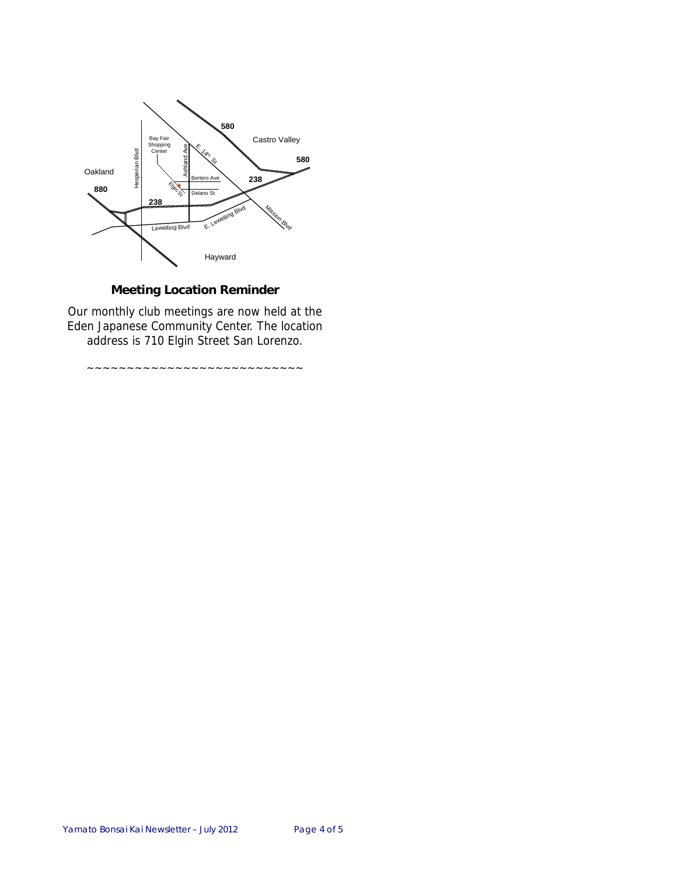

#### **Meeting Location Reminder**

Our monthly club meetings are now held at the Eden Japanese Community Center. The location address is 710 Elgin Street San Lorenzo.

~~~~~~~~~~~~~~~~~~